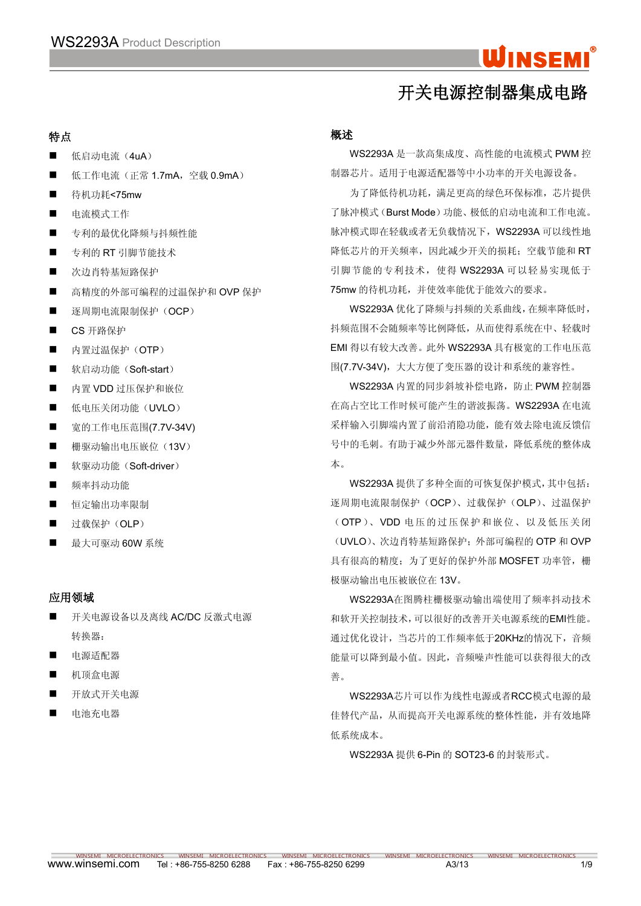## WINSEMI

## 开关电源控制器集成电路

## 特点

- 低启动电流 (4uA)
- 低工作电流 (正常 1.7mA, 空载 0.9mA)
- 待机功耗<75mw
- 电流模式工作
- 专利的最优化降频与抖频性能
- 专利的 RT 引脚节能技术
- 次边肖特基短路保护
- 高精度的外部可编程的过温保护和 OVP 保护
- 逐周期电流限制保护(OCP)
- CS 开路保护
- 内置过温保护(OTP)
- 软启动功能(Soft-start)
- 内置 VDD 过压保护和嵌位
- 低电压关闭功能(UVLO)
- 宽的工作电压范围(7.7V-34V)
- 栅驱动输出电压嵌位 (13V)
- 软驱动功能(Soft-driver) カランスのある 本。
- 频率抖动功能
- 恒定输出功率限制
- 过载保护 (OLP)
- 最大可驱动 60W 系统

## 应用领域

- 开关电源设备以及离线 AC/DC 反激式电源 转换器:
- 电源话配器
- 机顶盒电源
- 开放式开关电源
- 电池充电器

## 概述 あいしゃ しゅうしょう しゅうしょく しんしゃく

WS2293A 是一款高集成度、高性能的电流模式 PWM 控 制器芯片。适用于电源适配器等中小功率的开关电源设备。

为了降低待机功耗,满足更高的绿色环保标准,芯片提供 了脉冲模式(Burst Mode)功能、极低的启动电流和工作电流。 脉冲模式即在轻载或者无负载情况下,WS2293A 可以线性地 降低芯片的开关频率,因此减少开关的损耗; 空载节能和 RT 引脚节能的专利技术, 使得 WS2293A 可以轻易实现低于 75mw 的待机功耗,并使效率能优于能效六的要求。

WS2293A 优化了降频与抖频的关系曲线,在频率降低时, 抖频范围不会随频率等比例降低,从而使得系统在中、轻载时 EMI 得以有较大改善。此外 WS2293A 具有极宽的工作电压范 围(7.7V-34V), 大大方便了变压器的设计和系统的兼容性。

WS2293A 内置的同步斜坡补偿电路,防止 PWM 控制器 在高占空比工作时候可能产生的谐波振荡。WS2293A 在电流 采样输入引脚端内置了前沿消隐功能,能有效去除电流反馈信 号中的毛刺。有助于减少外部元器件数量,降低系统的整体成 本。

WS2293A 提供了多种全面的可恢复保护模式,其中包括: 逐周期电流限制保护(OCP)、过载保护(OLP)、过温保护 (OTP)、VDD 电压的过压保护和嵌位、以及低压关闭 (UVLO)、次边肖特基短路保护;外部可编程的 OTP 和 OVP 具有很高的精度;为了更好的保护外部 MOSFET 功率管,栅 极驱动输出电压被嵌位在 13V。

WS2293A在图腾柱栅极驱动输出端使用了频率抖动技术 和软开关控制技术,可以很好的改善开关电源系统的EMI性能。 通过优化设计,当芯片的工作频率低于20KHz的情况下,音频 能量可以降到最小值。因此,音频噪声性能可以获得很大的改 善。

WS2293A芯片可以作为线性电源或者RCC模式电源的最 佳替代产品,从而提高开关电源系统的整体性能,并有效地降 低系统成本。

WS2293A 提供 6-Pin 的 SOT23-6 的封装形式。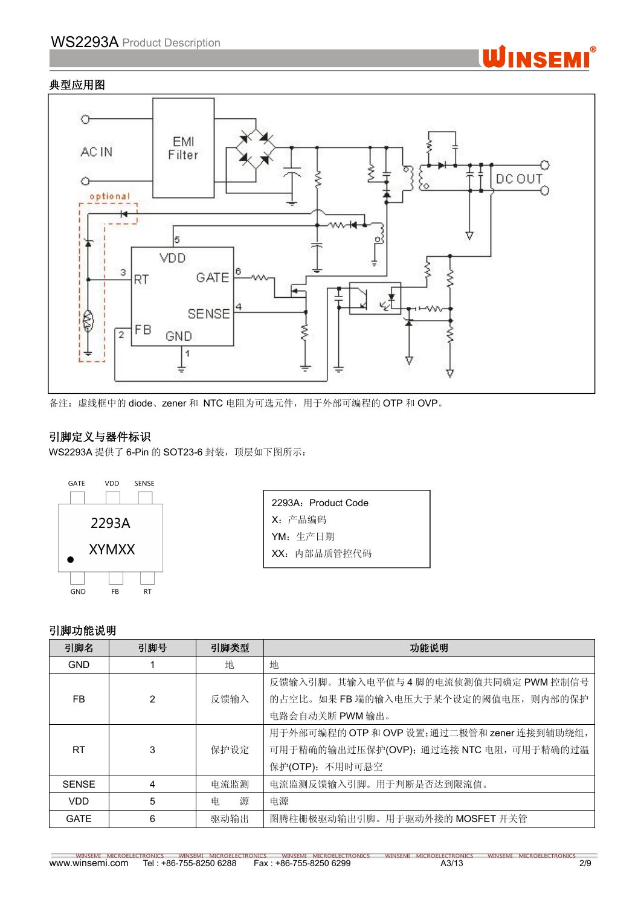## WS2293A Product Description

## 典型应用图





备注: 虚线框中的 diode、zener 和 NTC 电阻为可选元件, 用于外部可编程的 OTP 和 OVP。

## 引脚定义与器件标识

WS2293A 提供了 6-Pin 的 SOT23-6 封装, 顶层如下图所示:



| 2293A: Product Code |  |
|---------------------|--|
| X: 产品编码             |  |
| YM: 生产日期            |  |
| XX: 内部品质管控代码        |  |

### 引脚功能说明

| 引脚名          | 引脚号 | 引脚类型   | 功能说明                                        |
|--------------|-----|--------|---------------------------------------------|
| <b>GND</b>   |     | 地      | 地                                           |
|              |     |        | 反馈输入引脚。其输入电平值与4脚的电流侦测值共同确定 PWM 控制信号         |
| FB.          | 2   | 反馈输入   | 的占空比。如果 FB 端的输入电压大于某个设定的阈值电压, 则内部的保护        |
|              |     |        | 电路会自动关断 PWM 输出。                             |
|              |     |        | 用于外部可编程的 OTP 和 OVP 设置;通过二极管和 zener 连接到辅助绕组, |
| <b>RT</b>    | 3   | 保护设定   | 可用于精确的输出过压保护(OVP); 通过连接 NTC 电阻, 可用于精确的过温    |
|              |     |        | 保护(OTP); 不用时可悬空                             |
| <b>SENSE</b> | 4   | 电流监测   | 电流监测反馈输入引脚。用于判断是否达到限流值。                     |
| VDD          | 5   | 源<br>电 | 电源                                          |
| <b>GATE</b>  | 6   | 驱动输出   | 图腾柱栅极驱动输出引脚。用于驱动外接的 MOSFET 开关管              |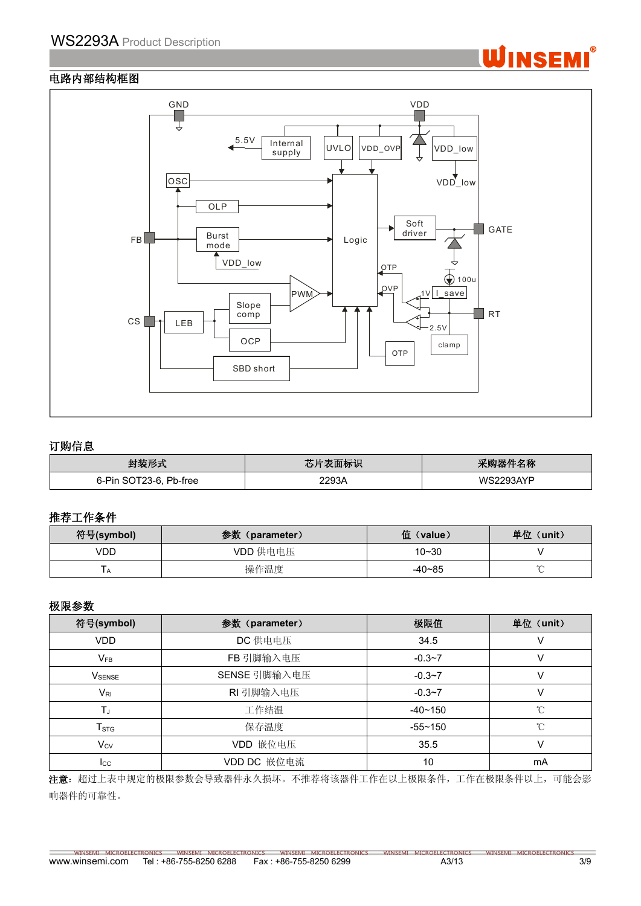

## 电路内部结构框图



### 订购信息

| $L$ $H$ $H$ $H$ $H$<br>. .                               | - - -<br>、山のふ  | $A + A$<br>1212<br>557 F<br><b>1</b> 1 1 1 1 1<br>↗<br>. |
|----------------------------------------------------------|----------------|----------------------------------------------------------|
| <b>Dh</b><br>Pin .<br>-00<br>$\sim$<br>∍.<br>b-tree<br>י | 0.000<br>– 90⊬ | $A \setminus I$                                          |

#### 推荐工作条件

| 符号(symbol)   | 参数<br>(parameter) | 值 (value)  | 单位<br>(unit) |
|--------------|-------------------|------------|--------------|
| VDD          | VDD 供电电压          | $10 - 30$  |              |
| $\mathbf{H}$ | 操作温度              | $-40 - 85$ |              |

## 极限参数

| 符号(symbol)         | 参数 (parameter) | 极限值         | 单位 (unit)   |
|--------------------|----------------|-------------|-------------|
| <b>VDD</b>         | DC 供电电压        | 34.5        |             |
| $V_{FB}$           | FB 引脚输入电压      | $-0.3 - 7$  |             |
| V <sub>SENSE</sub> | SENSE 引脚输入电压   | $-0.3 - 7$  |             |
| $V_{\mathsf{RI}}$  | RI 引脚输入电压      | $-0.3 - 7$  |             |
| ТJ                 | 工作结温           | $-40 - 150$ | °C          |
| $T_{\text{STG}}$   | 保存温度           | $-55 - 150$ | $^{\circ}C$ |
| $V_{CV}$           | VDD 嵌位电压       | 35.5        |             |
| $_{\rm lcc}$       | VDD DC 嵌位电流    | 10          | mA          |

注意: 超过上表中规定的极限参数会导致器件永久损坏。不推荐将该器件工作在以上极限条件,工作在极限条件以上,可能会影 响器件的可靠性。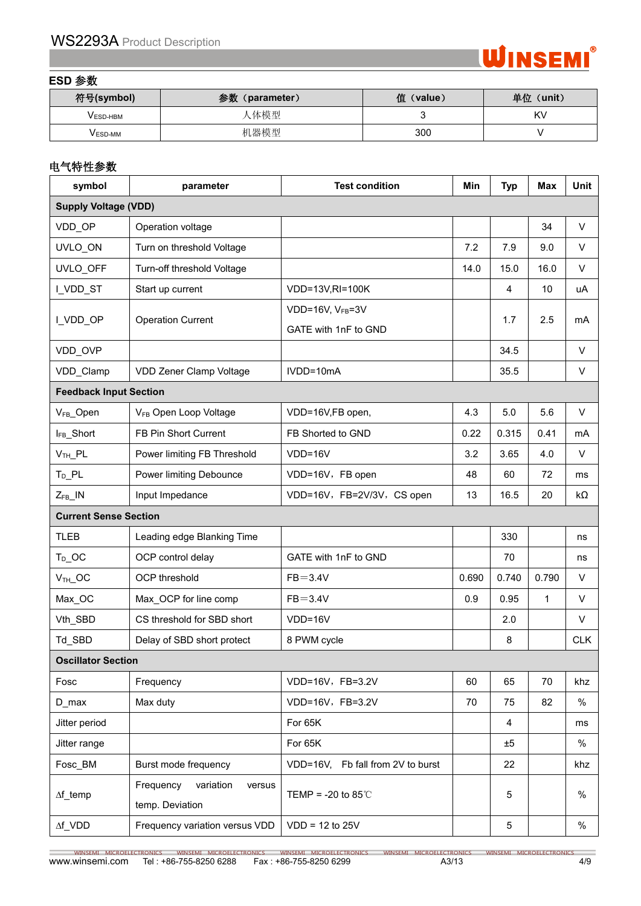

### **ESD** 参数

| 符号(symbol)     | 参数<br>(parameter) | 值<br>(value) | 单位 (unit) |
|----------------|-------------------|--------------|-----------|
| V ESD-HBM      | 人体模型              |              | K         |
| <b>VESD-MM</b> | 机器模型              | 300          |           |

## 电气特性参数

| symbol                        | parameter                                           | <b>Test condition</b>             | Min   | <b>Typ</b> | Max          | Unit       |
|-------------------------------|-----------------------------------------------------|-----------------------------------|-------|------------|--------------|------------|
| <b>Supply Voltage (VDD)</b>   |                                                     |                                   |       |            |              |            |
| VDD_OP                        | Operation voltage                                   |                                   |       |            | 34           | V          |
| UVLO_ON                       | Turn on threshold Voltage                           |                                   | 7.2   | 7.9        | 9.0          | V          |
| UVLO_OFF                      | Turn-off threshold Voltage                          |                                   | 14.0  | 15.0       | 16.0         | V          |
| I_VDD_ST                      | Start up current                                    | VDD=13V,RI=100K                   |       | 4          | 10           | uA         |
|                               | <b>Operation Current</b>                            | VDD=16V, VFB=3V                   |       | 1.7        | 2.5          |            |
| I_VDD_OP                      |                                                     | GATE with 1nF to GND              |       |            |              | mA         |
| VDD_OVP                       |                                                     |                                   |       | 34.5       |              | V          |
| VDD_Clamp                     | VDD Zener Clamp Voltage                             | IVDD=10mA                         |       | 35.5       |              | V          |
| <b>Feedback Input Section</b> |                                                     |                                   |       |            |              |            |
| V <sub>FB</sub> _Open         | VFB Open Loop Voltage                               | VDD=16V,FB open,                  | 4.3   | $5.0$      | 5.6          | $\vee$     |
| IFB_Short                     | FB Pin Short Current                                | FB Shorted to GND                 | 0.22  | 0.315      | 0.41         | mA         |
| $VTH$ $PL$                    | Power limiting FB Threshold                         | $VDD=16V$                         | 3.2   | 3.65       | 4.0          | V          |
| $T_D$ $PL$                    | Power limiting Debounce                             | VDD=16V, FB open                  | 48    | 60         | 72           | ms         |
| $Z_{FB}$ _IN                  | Input Impedance                                     | VDD=16V, FB=2V/3V, CS open        | 13    | 16.5       | 20           | kΩ         |
| <b>Current Sense Section</b>  |                                                     |                                   |       |            |              |            |
| <b>TLEB</b>                   | Leading edge Blanking Time                          |                                   |       | 330        |              | ns         |
| $T_D$ OC                      | OCP control delay                                   | GATE with 1nF to GND              |       | 70         |              | ns         |
| $VTH$ OC                      | OCP threshold                                       | $FB = 3.4V$                       | 0.690 | 0.740      | 0.790        | V          |
| Max_OC                        | Max_OCP for line comp                               | $FB = 3.4V$                       | 0.9   | 0.95       | $\mathbf{1}$ | V          |
| Vth_SBD                       | CS threshold for SBD short                          | $VDD=16V$                         |       | 2.0        |              | V          |
| Td_SBD                        | Delay of SBD short protect                          | 8 PWM cycle                       |       | 8          |              | <b>CLK</b> |
| <b>Oscillator Section</b>     |                                                     |                                   |       |            |              |            |
| Fosc                          | Frequency                                           | VDD=16V, FB=3.2V                  | 60    | 65         | 70           | khz        |
| $D_{max}$                     | Max duty                                            | VDD=16V, FB=3.2V                  | 70    | 75         | 82           | $\%$       |
| Jitter period                 |                                                     | For 65K                           |       | 4          |              | ms         |
| Jitter range                  |                                                     | For 65K                           |       | ±5         |              | $\%$       |
| Fosc BM                       | Burst mode frequency                                | VDD=16V, Fb fall from 2V to burst |       | 22         |              | khz        |
| $\Delta f$ _temp              | Frequency<br>variation<br>versus<br>temp. Deviation | TEMP = -20 to 85 $\degree$ C      |       | 5          |              | $\%$       |
| $\Delta f\_VDD$               | Frequency variation versus VDD                      | $VDD = 12$ to 25V                 |       | 5          |              | $\%$       |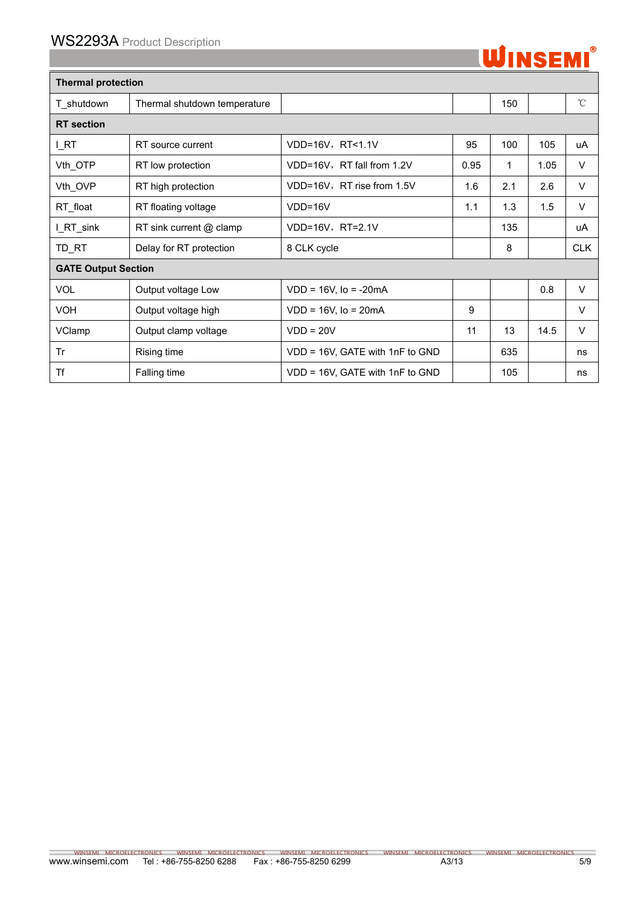

| <b>Thermal protection</b>  |                              |                                 |      |     |      |              |
|----------------------------|------------------------------|---------------------------------|------|-----|------|--------------|
| T_shutdown                 | Thermal shutdown temperature |                                 |      | 150 |      | $^{\circ}$ C |
| <b>RT</b> section          |                              |                                 |      |     |      |              |
| I_RT                       | RT source current            | VDD=16V, RT<1.1V                | 95   | 100 | 105  | uA           |
| Vth_OTP                    | RT low protection            | VDD=16V, RT fall from 1.2V      | 0.95 | 1   | 1.05 | V            |
| Vth_OVP                    | RT high protection           | VDD=16V, RT rise from 1.5V      | 1.6  | 2.1 | 2.6  | V            |
| RT_float                   | RT floating voltage          | VDD=16V                         | 1.1  | 1.3 | 1.5  | V            |
| I_RT_sink                  | RT sink current @ clamp      | VDD=16V, RT=2.1V                |      | 135 |      | uA           |
| TD_RT                      | Delay for RT protection      | 8 CLK cycle                     |      | 8   |      | <b>CLK</b>   |
| <b>GATE Output Section</b> |                              |                                 |      |     |      |              |
| <b>VOL</b>                 | Output voltage Low           | $VDD = 16V$ , $Io = -20mA$      |      |     | 0.8  | $\vee$       |
| <b>VOH</b>                 | Output voltage high          | $VDD = 16V$ , $Io = 20mA$       | 9    |     |      | V            |
| VClamp                     | Output clamp voltage         | $VDD = 20V$                     | 11   | 13  | 14.5 | V            |
| Tr                         | Rising time                  | VDD = 16V, GATE with 1nF to GND |      | 635 |      | ns           |
| Tf                         | Falling time                 | VDD = 16V, GATE with 1nF to GND |      | 105 |      | ns           |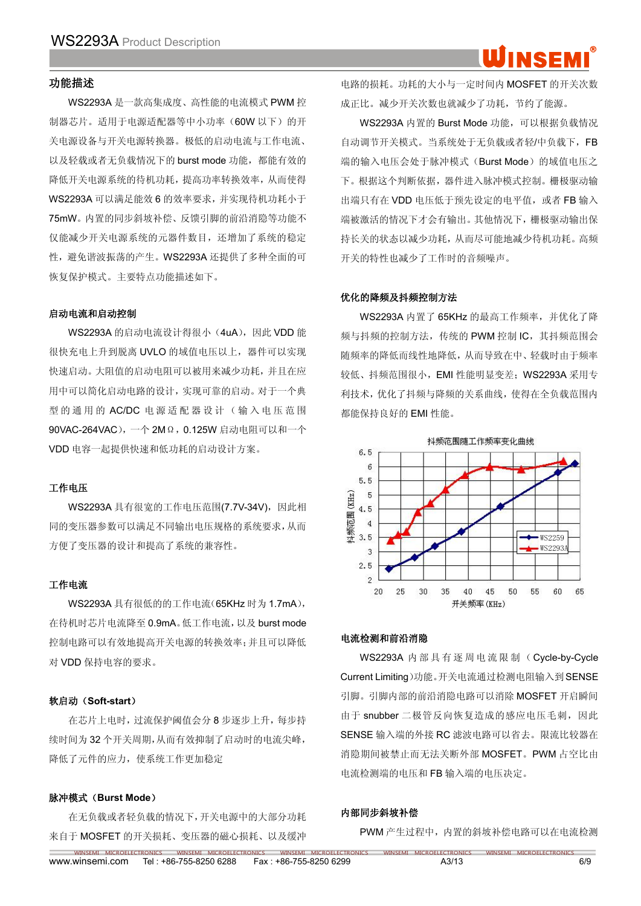## INSFM

#### 功能描述

WS2293A 是一款高集成度、高性能的电流模式 PWM 控 制器芯片。适用于电源适配器等中小功率(60W 以下)的开 关电源设备与开关电源转换器。极低的启动电流与工作电流、 以及轻载或者无负载情况下的 burst mode 功能,都能有效的 降低开关电源系统的待机功耗,提高功率转换效率,从而使得 WS2293A 可以满足能效 6 的效率要求,并实现待机功耗小于 75mW。内置的同步斜坡补偿、反馈引脚的前沿消隐等功能不 仅能减少开关电源系统的元器件数目,还增加了系统的稳定 性,避免谐波振荡的产生。WS2293A 还提供了多种全面的可 恢复保护模式。主要特点功能描述如下。

#### 启动电流和启动控制

WS2293A 的启动电流设计得很小 (4uA), 因此 VDD 能 很快充电上升到脱离 UVLO 的域值电压以上,器件可以实现 快速启动。大阻值的启动电阻可以被用来减少功耗,并且在应 用中可以简化启动电路的设计,实现可靠的启动。对于一个典 型的通用的 AC/DC 电源适配器设计(输入电压范围 90VAC-264VAC), 一个 2MΩ, 0.125W 启动电阻可以和一个 VDD 电容一起提供快速和低功耗的启动设计方案。

#### 工作电压

WS2293A 具有很宽的工作电压范围(7.7V-34V),因此相 同的变压器参数可以满足不同输出电压规格的系统要求,从而 方便了变压器的设计和提高了系统的兼容性。

#### 工作电流

WS2293A 具有很低的的工作电流(65KHz 时为 1.7mA), 在待机时芯片电流降至 0.9mA。低工作电流,以及 burst mode 控制电路可以有效地提高开关电源的转换效率;并且可以降低 对 VDD 保持电容的要求。

#### 软启动(**Soft-start**)

在芯片上电时,过流保护阈值会分 8 步逐步上升,每步持 续时间为 32 个开关周期,从而有效抑制了启动时的电流尖峰, 降低了元件的应力,使系统工作更加稳定

#### 脉冲模式(**Burst Mode**)

在无负载或者轻负载的情况下,开关电源中的大部分功耗 来自于 MOSFET 的开关损耗、变压器的磁心损耗、以及缓冲

电路的损耗。功耗的大小与一定时间内 MOSFET 的开关次数 成正比。减少开关次数也就减少了功耗,节约了能源。

WS2293A 内置的 Burst Mode 功能,可以根据负载情况 自动调节开关模式。当系统处于无负载或者轻/中负载下,FB 端的输入电压会处于脉冲模式(Burst Mode)的域值电压之 下。根据这个判断依据,器件进入脉冲模式控制。栅极驱动输 出端只有在 VDD 电压低于预先设定的电平值,或者 FB 输入 端被激活的情况下才会有输出。其他情况下,栅极驱动输出保 持长关的状态以减少功耗,从而尽可能地减少待机功耗。高频 开关的特性也减少了工作时的音频噪声。

#### 优化的降频及抖频控制方法

WS2293A 内置了 65KHz 的最高工作频率,并优化了降 频与抖频的控制方法,传统的 PWM 控制 IC,其抖频范围会 随频率的降低而线性地降低,从而导致在中、轻载时由于频率 较低、抖频范围很小,EMI 性能明显变差;WS2293A 采用专 利技术,优化了抖频与降频的关系曲线,使得在全负载范围内 都能保持良好的 EMI 性能。



#### 电流检测和前沿消隐

WS2293A 内 部 具 有 逐 周 电 流 限 制 ( Cycle-by-Cycle Current Limiting)功能。开关电流通过检测电阻输入到SENSE 引脚。引脚内部的前沿消隐电路可以消除 MOSFET 开启瞬间 由于 snubber 二极管反向恢复造成的感应电压毛刺,因此 SENSE 输入端的外接 RC 滤波电路可以省去。限流比较器在 消隐期间被禁止而无法关断外部 MOSFET。PWM 占空比由 电流检测端的电压和 FB 输入端的电压决定。

#### 内部同步斜坡补偿

WINSEMI MICROELECTRONICS WINSEMI MICROELECTRONICS WINSEMI MICROELECTRONICS WINSEMI MICROELECTRONICS WINSEMI MICROELECTRONICS

PWM 产生过程中, 内置的斜坡补偿电路可以在电流检测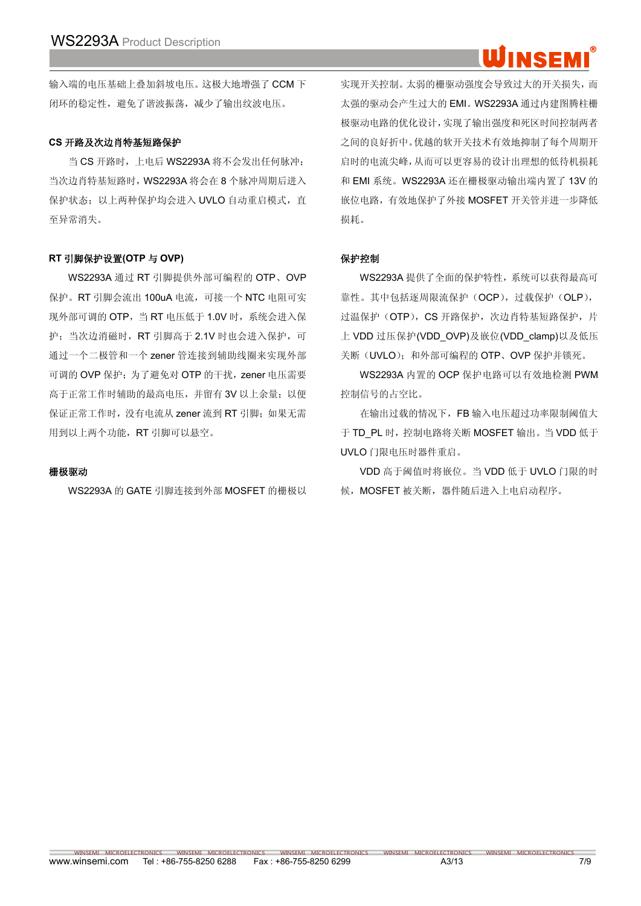# INSER

输入端的电压基础上叠加斜坡电压。这极大地增强了 CCM 下 闭环的稳定性,避免了谐波振荡,减少了输出纹波电压。

#### **CS** 开路及次边肖特基短路保护

当 CS 开路时,上电后 WS2293A 将不会发出任何脉冲; 当次边肖特基短路时,WS2293A 将会在 8 个脉冲周期后进入 保护状态;以上两种保护均会进入 UVLO 自动重启模式,直 至异常消失。

#### **RT** 引脚保护设置**(OTP** 与 **OVP)**

WS2293A 通过 RT 引脚提供外部可编程的 OTP、OVP 保护。RT 引脚会流出 100uA 电流,可接一个 NTC 电阻可实 现外部可调的 OTP, 当 RT 电压低于 1.0V 时, 系统会进入保 护;当次边消磁时,RT 引脚高于 2.1V 时也会进入保护,可 通过一个二极管和一个 zener 管连接到辅助线圈来实现外部 可调的 OVP 保护: 为了避免对 OTP 的干扰, zener 电压需要 高于正常工作时辅助的最高电压,并留有 3V 以上余量;以便 保证正常工作时,没有电流从 zener 流到 RT 引脚;如果无需 用到以上两个功能,RT 引脚可以悬空。

#### 栅极驱动

WS2293A 的 GATE 引脚连接到外部 MOSFET 的栅极以

实现开关控制。太弱的栅驱动强度会导致过大的开关损失,而 太强的驱动会产生过大的 EMI。WS2293A 通过内建图腾柱栅 极驱动电路的优化设计,实现了输出强度和死区时间控制两者 之间的良好折中。优越的软开关技术有效地抑制了每个周期开 启时的电流尖峰,从而可以更容易的设计出理想的低待机损耗 和 EMI 系统。WS2293A 还在栅极驱动输出端内置了 13V 的 嵌位电路,有效地保护了外接 MOSFET 开关管并进一步降低 损耗。

#### 保护控制

WS2293A 提供了全面的保护特性,系统可以获得最高可 靠性。其中包括逐周限流保护(OCP),过载保护(OLP), 过温保护(OTP), CS 开路保护,次边肖特基短路保护,片 上 VDD 过压保护(VDD\_OVP)及嵌位(VDD\_clamp)以及低压 关断(UVLO);和外部可编程的 OTP、OVP 保护并锁死。

WS2293A 内置的 OCP 保护电路可以有效地检测 PWM 控制信号的占空比。

在输出过载的情况下,FB 输入电压超过功率限制阈值大 于 TD\_PL 时,控制电路将关断 MOSFET 输出。当 VDD 低于 UVLO 门限电压时器件重启。

VDD 高于阈值时将嵌位。当 VDD 低于 UVLO 门限的时 候,MOSFET 被关断,器件随后进入上电启动程序。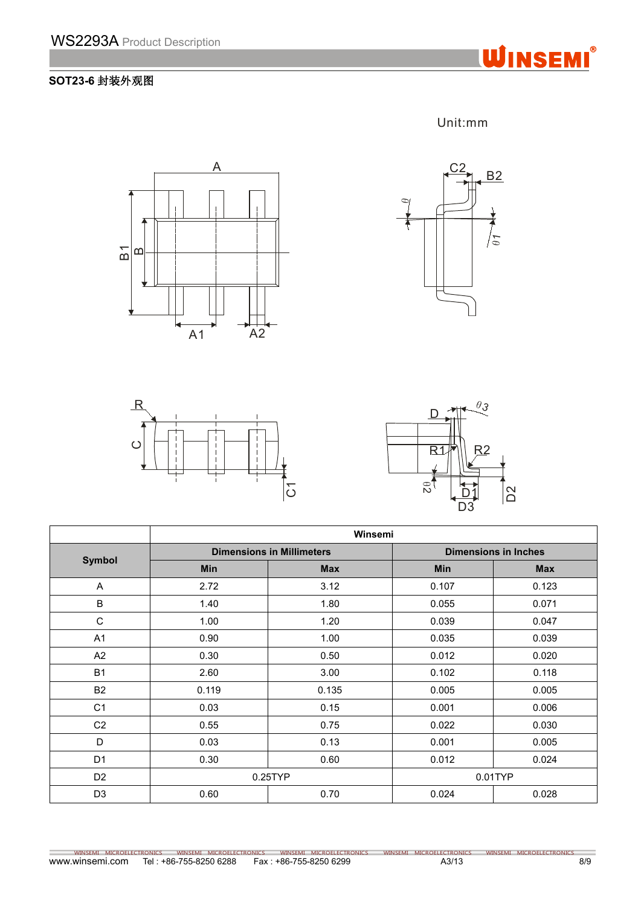

## **SOT23-6** 封装外观图





Unit:mm





|                | Winsemi    |                                  |                             |            |  |  |
|----------------|------------|----------------------------------|-----------------------------|------------|--|--|
|                |            | <b>Dimensions in Millimeters</b> | <b>Dimensions in Inches</b> |            |  |  |
| <b>Symbol</b>  | <b>Min</b> | <b>Max</b>                       | <b>Min</b>                  | <b>Max</b> |  |  |
| A              | 2.72       | 3.12                             | 0.107                       | 0.123      |  |  |
| $\sf B$        | 1.40       | 1.80                             | 0.055                       | 0.071      |  |  |
| $\mathbf C$    | 1.00       | 1.20                             | 0.039                       | 0.047      |  |  |
| A1             | 0.90       | 1.00                             | 0.035                       | 0.039      |  |  |
| A2             | 0.30       | 0.50                             | 0.012                       | 0.020      |  |  |
| <b>B1</b>      | 2.60       | 3.00                             | 0.102                       | 0.118      |  |  |
| <b>B2</b>      | 0.119      | 0.135                            | 0.005                       | 0.005      |  |  |
| C <sub>1</sub> | 0.03       | 0.15                             | 0.001                       | 0.006      |  |  |
| C <sub>2</sub> | 0.55       | 0.75                             | 0.022                       | 0.030      |  |  |
| D              | 0.03       | 0.13                             | 0.001                       | 0.005      |  |  |
| D <sub>1</sub> | 0.30       | 0.60                             | 0.012                       | 0.024      |  |  |
| D <sub>2</sub> |            | 0.25TYP                          |                             | 0.01TYP    |  |  |
| D <sub>3</sub> | 0.60       | 0.70                             | 0.024                       | 0.028      |  |  |

www.winsemi.com Tel : +86-755-8250 6288 Fax : +86-755-8250 6299 A3/13 A3/13 A3/13 WINSEMI MICROELECTRONICS WINSEMI MICROELECTRONICS WINSEMI MICROELECTRONICS WINSEMI MICROELECTRONICS WINSEMI MICROELECTRONICS